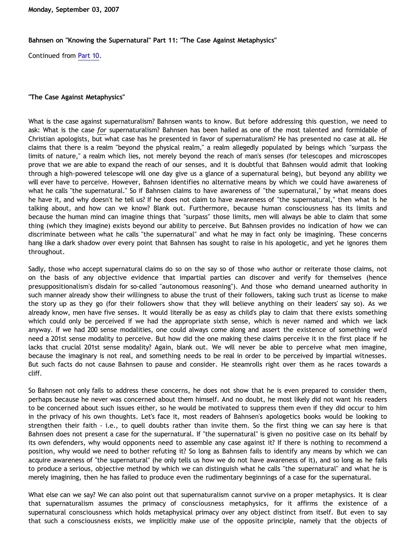## **Bahnsen on "Knowing the Supernatural" Part 11: "The Case Against Metaphysics"**

Continued from [Part 10.](http://bahnsenburner.blogspot.com/2007/08/bahnsen-on-knowing-supernatural-part-10.html)

## **"The Case Against Metaphysics"**

What is the case against supernaturalism? Bahnsen wants to know. But before addressing this question, we need to ask: What is the case *for* supernaturalism? Bahnsen has been hailed as one of the most talented and formidable of Christian apologists, but what case has he presented in favor of supernaturalism? He has presented no case at all. He claims that there is a realm "beyond the physical realm," a realm allegedly populated by beings which "surpass the limits of nature," a realm which lies, not merely beyond the reach of man's senses (for telescopes and microscopes prove that we are able to expand the reach of our senses, and it is doubtful that Bahnsen would admit that looking through a high-powered telescope will one day give us a glance of a supernatural being), but beyond any ability we will ever have to perceive. However, Bahnsen identifies no alternative means by which we could have awareness of what he calls "the supernatural." So if Bahnsen claims to have awareness of "the supernatural," by what means does he have it, and why doesn't he tell us? If he does not claim to have awareness of "the supernatural," then what is he talking about, and how can we know? Blank out. Furthermore, because human consciousness has its limits and because the human mind can imagine things that "surpass" those limits, men will always be able to claim that some thing (which they imagine) exists beyond our ability to perceive. But Bahnsen provides no indication of how we can discriminate between what he calls "the supernatural" and what he may in fact only be imagining. These concerns hang like a dark shadow over every point that Bahnsen has sought to raise in his apologetic, and yet he ignores them throughout.

Sadly, those who accept supernatural claims do so on the say so of those who author or reiterate those claims, not on the basis of any objective evidence that impartial parties can discover and verify for themselves (hence presuppositionalism's disdain for so-called "autonomous reasoning"). And those who demand unearned authority in such manner already show their willingness to abuse the trust of their followers, taking such trust as license to make the story up as they go (for their followers show that they will believe anything on their leaders' say so). As we already know, men have five senses. It would literally be as easy as child's play to claim that there exists something which could only be perceived if we had the appropriate sixth sense, which is never named and which we lack anyway. If we had 200 sense modalities, one could always come along and assert the existence of something we'd need a 201st sense modality to perceive. But how did the one making these claims perceive it in the first place if he lacks that crucial 201st sense modality? Again, blank out. We will never be able to perceive what men imagine, because the imaginary is not real, and something needs to be real in order to be perceived by impartial witnesses. But such facts do not cause Bahnsen to pause and consider. He steamrolls right over them as he races towards a cliff.

So Bahnsen not only fails to address these concerns, he does not show that he is even prepared to consider them, perhaps because he never was concerned about them himself. And no doubt, he most likely did not want his readers to be concerned about such issues either, so he would be motivated to suppress them even if they did occur to him in the privacy of his own thoughts. Let's face it, most readers of Bahnsen's apologetics books would be looking to strengthen their faith - i.e., to quell doubts rather than invite them. So the first thing we can say here is that Bahnsen does not present a case for the supernatural. If "the supernatural" is given no positive case on its behalf by its own defenders, why would opponents need to assemble any case against it? If there is nothing to recommend a position, why would we need to bother refuting it? So long as Bahnsen fails to identify any means by which we can acquire awareness of "the supernatural" (he only tells us how we do not have awareness of it), and so long as he fails to produce a serious, objective method by which we can distinguish what he calls "the supernatural" and what he is merely imagining, then he has failed to produce even the rudimentary beginnings of a case for the supernatural.

What else can we say? We can also point out that supernaturalism cannot survive on a proper metaphysics. It is clear that supernaturalism assumes the primacy of consciousness metaphysics, for it affirms the existence of a supernatural consciousness which holds metaphysical primacy over any object distinct from itself. But even to say that such a consciousness exists, we implicitly make use of the opposite principle, namely that the objects of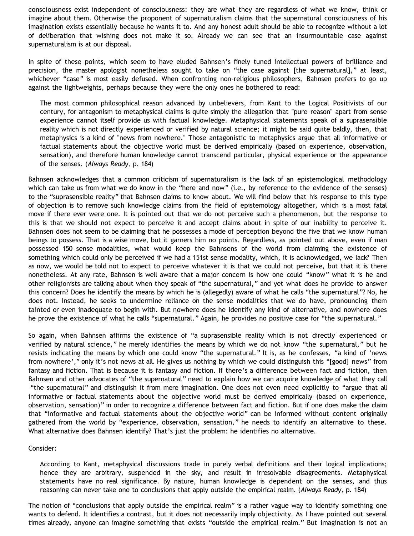consciousness exist independent of consciousness: they are what they are regardless of what we know, think or imagine about them. Otherwise the proponent of supernaturalism claims that the supernatural consciousness of his imagination exists essentially because he wants it to. And any honest adult should be able to recognize without a lot of deliberation that wishing does not make it so. Already we can see that an insurmountable case against supernaturalism is at our disposal.

In spite of these points, which seem to have eluded Bahnsen's finely tuned intellectual powers of brilliance and precision, the master apologist nonetheless sought to take on "the case against [the supernatural]," at least, whichever "case" is most easily defused. When confronting non-religious philosophers, Bahnsen prefers to go up against the lightweights, perhaps because they were the only ones he bothered to read:

The most common philosophical reason advanced by unbelievers, from Kant to the Logical Positivists of our century, for antagonism to metaphysical claims is quite simply the allegation that "pure reason" apart from sense experience cannot itself provide us with factual knowledge. Metaphysical statements speak of a suprasensible reality which is not directly experienced or verified by natural science; it might be said quite baldly, then, that metaphysics is a kind of "news from nowhere." Those antagonistic to metaphysics argue that all informative or factual statements about the objective world must be derived empirically (based on experience, observation, sensation), and therefore human knowledge cannot transcend particular, physical experience or the appearance of the senses. (*Always Ready*, p. 184)

Bahnsen acknowledges that a common criticism of supernaturalism is the lack of an epistemological methodology which can take us from what we do know in the "here and now" (i.e., by reference to the evidence of the senses) to the "suprasensible reality" that Bahnsen claims to know about. We will find below that his response to this type of objection is to remove such knowledge claims from the field of epistemology altogether, which is a most fatal move if there ever were one. It is pointed out that we do not perceive such a phenomenon, but the response to this is that we should not expect to perceive it and accept claims about in spite of our inability to perceive it. Bahnsen does not seem to be claiming that he possesses a mode of perception beyond the five that we know human beings to possess. That is a wise move, but it garners him no points. Regardless, as pointed out above, even if man possessed 150 sense modalities, what would keep the Bahnsens of the world from claiming the existence of something which could only be perceived if we had a 151st sense modality, which, it is acknowledged, we lack? Then as now, we would be told not to expect to perceive whatever it is that we could not perceive, but that it is there nonetheless. At any rate, Bahnsen is well aware that a major concern is how one could "know" what it is he and other religionists are talking about when they speak of "the supernatural," and yet what does he provide to answer this concern? Does he identify the means by which he is (allegedly) aware of what he calls "the supernatural"? No, he does not. Instead, he seeks to undermine reliance on the sense modalities that we do have, pronouncing them tainted or even inadequate to begin with. But nowhere does he identify any kind of alternative, and nowhere does he prove the existence of what he calls "supernatural." Again, he provides no positive case for "the supernatural."

So again, when Bahnsen affirms the existence of "a suprasensible reality which is not directly experienced or verified by natural science," he merely identifies the means by which we do not know "the supernatural," but he resists indicating the means by which one could know "the supernatural." It is, as he confesses, "a kind of 'news from nowhere'," only it's not news at all. He gives us nothing by which we could distinguish this "[good] news" from fantasy and fiction. That is because it is fantasy and fiction. If there's a difference between fact and fiction, then Bahnsen and other advocates of "the supernatural" need to explain how we can acquire knowledge of what they call "the supernatural" and distinguish it from mere imagination. One does not even need explicitly to "argue that all informative or factual statements about the objective world must be derived empirically (based on experience, observation, sensation)" in order to recognize a difference between fact and fiction. But if one does make the claim that "informative and factual statements about the objective world" can be informed without content originally gathered from the world by "experience, observation, sensation," he needs to identify an alternative to these. What alternative does Bahnsen identify? That's just the problem: he identifies no alternative.

## Consider:

According to Kant, metaphysical discussions trade in purely verbal definitions and their logical implications; hence they are arbitrary, suspended in the sky, and result in irresolvable disagreements. Metaphysical statements have no real significance. By nature, human knowledge is dependent on the senses, and thus reasoning can never take one to conclusions that apply outside the empirical realm. (*Always Ready*, p. 184)

The notion of "conclusions that apply outside the empirical realm" is a rather vague way to identify something one wants to defend. It identifies a contrast, but it does not necessarily imply objectivity. As I have pointed out several times already, anyone can imagine something that exists "outside the empirical realm." But imagination is not an